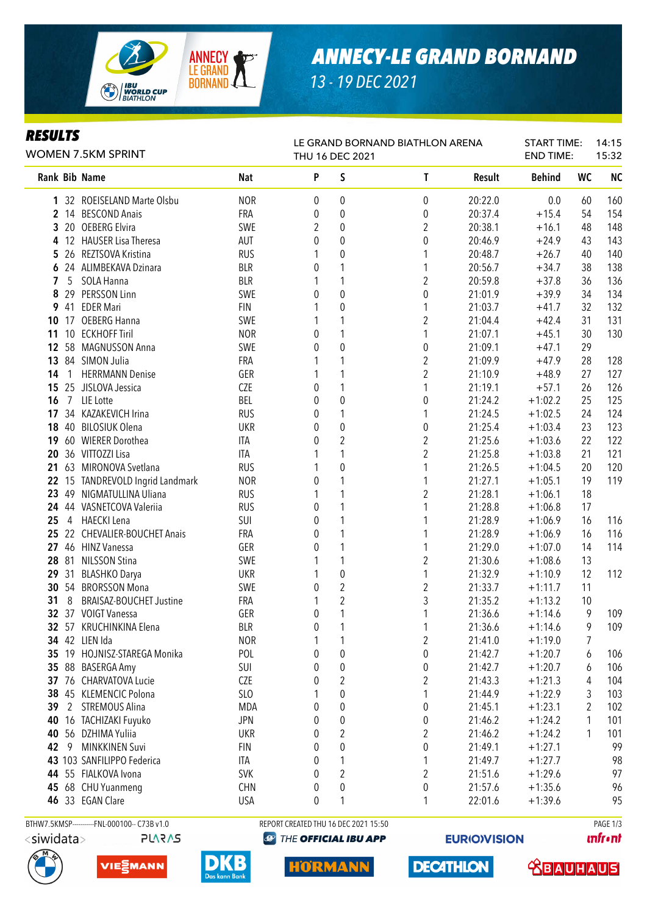

### *ANNECY-LE GRAND BORNAND*

*13 - 19 DEC 2021*

### *RESULTS*

| KEJULIJ<br>WOMEN 7.5KM SPRINT |                 |                               |            | LE GRAND BORNAND BIATHLON ARENA<br>THU 16 DEC 2021 |                  |                         |         |               | <b>START TIME:</b><br><b>END TIME:</b> | 14:15<br>15:32 |  |
|-------------------------------|-----------------|-------------------------------|------------|----------------------------------------------------|------------------|-------------------------|---------|---------------|----------------------------------------|----------------|--|
|                               |                 | Rank Bib Name                 | <b>Nat</b> | P                                                  | S                | T                       | Result  | <b>Behind</b> | <b>WC</b>                              | <b>NC</b>      |  |
|                               |                 | 1 32 ROEISELAND Marte Olsbu   | <b>NOR</b> | 0                                                  | $\pmb{0}$        | $\boldsymbol{0}$        | 20:22.0 | 0.0           | 60                                     | 160            |  |
|                               |                 | 2 14 BESCOND Anais            | FRA        | 0                                                  | 0                | 0                       | 20:37.4 | $+15.4$       | 54                                     | 154            |  |
|                               | 320             | <b>OEBERG Elvira</b>          | SWE        | $\overline{2}$                                     | 0                | $\overline{c}$          | 20:38.1 | $+16.1$       | 48                                     | 148            |  |
| 4                             |                 | 12 HAUSER Lisa Theresa        | <b>AUT</b> | 0                                                  | $\mathbf 0$      | 0                       | 20:46.9 | $+24.9$       | 43                                     | 143            |  |
| 5                             |                 | 26 REZTSOVA Kristina          | <b>RUS</b> | 1                                                  | $\mathbf 0$      | 1                       | 20:48.7 | $+26.7$       | 40                                     | 140            |  |
| 6                             |                 | 24 ALIMBEKAVA Dzinara         | <b>BLR</b> | 0                                                  | 1                | 1                       | 20:56.7 | $+34.7$       | 38                                     | 138            |  |
| 7                             | 5               | SOLA Hanna                    | <b>BLR</b> | 1                                                  | 1                | $\overline{2}$          | 20:59.8 | $+37.8$       | 36                                     | 136            |  |
| 8                             |                 | 29 PERSSON Linn               | SWE        | 0                                                  | $\mathbf 0$      | 0                       | 21:01.9 | $+39.9$       | 34                                     | 134            |  |
| 9                             |                 | 41 EDER Mari                  | <b>FIN</b> | 1                                                  | $\mathbf 0$      |                         | 21:03.7 | $+41.7$       | 32                                     | 132            |  |
| 10                            |                 | 17 OEBERG Hanna               | SWE        | 1                                                  |                  | $\overline{\mathbf{c}}$ | 21:04.4 | $+42.4$       | 31                                     | 131            |  |
| 11                            | 10 <sup>°</sup> | <b>ECKHOFF Tiril</b>          | <b>NOR</b> | 0                                                  |                  | 1                       | 21:07.1 | $+45.1$       | 30                                     | 130            |  |
| 12                            |                 | 58 MAGNUSSON Anna             | SWE        | 0                                                  | $\overline{0}$   | 0                       | 21:09.1 | $+47.1$       | 29                                     |                |  |
| 13                            |                 | 84 SIMON Julia                | FRA        | 1                                                  | 1                | $\overline{\mathbf{c}}$ | 21:09.9 | $+47.9$       | 28                                     | 128            |  |
| 14                            | 1               | <b>HERRMANN Denise</b>        | GER        | 1                                                  | 1                | $\overline{c}$          | 21:10.9 | $+48.9$       | 27                                     | 127            |  |
| 15                            |                 | 25 JISLOVA Jessica            | CZE        | 0                                                  | 1                | 1                       | 21:19.1 | $+57.1$       | 26                                     | 126            |  |
| 16                            | $7\overline{ }$ | LIE Lotte                     | BEL        | 0                                                  | $\mathbf 0$      | 0                       | 21:24.2 | $+1:02.2$     | 25                                     | 125            |  |
| 17                            |                 | 34 KAZAKEVICH Irina           | <b>RUS</b> | 0                                                  | 1                | 1                       | 21:24.5 | $+1:02.5$     | 24                                     | 124            |  |
| 18                            |                 | 40 BILOSIUK Olena             | <b>UKR</b> | 0                                                  | $\boldsymbol{0}$ | 0                       | 21:25.4 | $+1:03.4$     | 23                                     | 123            |  |
| 19                            |                 | 60 WIERER Dorothea            | <b>ITA</b> | 0                                                  | $\overline{c}$   | $\overline{2}$          | 21:25.6 | $+1:03.6$     | 22                                     | 122            |  |
| 20                            |                 | 36 VITTOZZI Lisa              | ITA        |                                                    | 1                | $\overline{\mathbf{c}}$ | 21:25.8 | $+1:03.8$     | 21                                     | 121            |  |
| 21                            |                 | 63 MIRONOVA Svetlana          | <b>RUS</b> |                                                    | $\boldsymbol{0}$ | 1                       | 21:26.5 | $+1:04.5$     | 20                                     | 120            |  |
| 22                            |                 | 15 TANDREVOLD Ingrid Landmark | <b>NOR</b> | 0                                                  | 1                | 1                       | 21:27.1 | $+1:05.1$     | 19                                     | 119            |  |
| 23                            | 49              | NIGMATULLINA Uliana           | <b>RUS</b> | 1                                                  | 1                | $\overline{2}$          | 21:28.1 | $+1:06.1$     | 18                                     |                |  |
|                               |                 | 24 44 VASNETCOVA Valeriia     | <b>RUS</b> | 0                                                  | 1                | 1                       | 21:28.8 | $+1:06.8$     | 17                                     |                |  |
| 25                            | 4               | HAECKI Lena                   | SUI        | 0                                                  | 1                |                         | 21:28.9 | $+1:06.9$     | 16                                     | 116            |  |
| 25                            |                 | 22 CHEVALIER-BOUCHET Anais    | FRA        | 0                                                  | 1                | 1                       | 21:28.9 | $+1:06.9$     | 16                                     | 116            |  |
|                               |                 |                               | GER        |                                                    |                  |                         |         |               |                                        | 114            |  |
| 27                            |                 | 46 HINZ Vanessa               |            | 0                                                  | 1                | 1                       | 21:29.0 | $+1:07.0$     | 14                                     |                |  |
|                               | 28 81           | <b>NILSSON Stina</b>          | SWE        | 1                                                  | 1                | $\overline{2}$          | 21:30.6 | $+1:08.6$     | 13                                     |                |  |
| 29                            | 31              | <b>BLASHKO Darya</b>          | <b>UKR</b> | 1                                                  | $\boldsymbol{0}$ | 1                       | 21:32.9 | $+1:10.9$     | 12                                     | 112            |  |
|                               |                 | 30 54 BRORSSON Mona           | SWE        | 0                                                  | $\overline{2}$   | $\overline{2}$          | 21:33.7 | $+1:11.7$     | 11                                     |                |  |
| 31                            | 8               | BRAISAZ-BOUCHET Justine       | FRA        | 1                                                  | 2                | 3                       | 21:35.2 | $+1:13.2$     | 10                                     |                |  |
|                               |                 | 32 37 VOIGT Vanessa           | GER        | 0                                                  | 1                | 1                       | 21:36.6 | $+1:14.6$     | 9                                      | 109            |  |
|                               |                 | 32 57 KRUCHINKINA Elena       | <b>BLR</b> | 0                                                  | 1                | 1                       | 21:36.6 | $+1:14.6$     | 9                                      | 109            |  |
|                               |                 | 34 42 LIEN Ida                | <b>NOR</b> | 1                                                  | 1                | $\overline{\mathbf{c}}$ | 21:41.0 | $+1:19.0$     | 7                                      |                |  |
|                               |                 | 35 19 HOJNISZ-STAREGA Monika  | POL        | 0                                                  | 0                | 0                       | 21:42.7 | $+1:20.7$     | 6                                      | 106            |  |
|                               |                 | 35 88 BASERGA Amy             | SUI        | 0                                                  | 0                | 0                       | 21:42.7 | $+1:20.7$     | 6                                      | 106            |  |
|                               |                 | 37 76 CHARVATOVA Lucie        | <b>CZE</b> | 0                                                  | $\boldsymbol{2}$ | $\boldsymbol{2}$        | 21:43.3 | $+1:21.3$     | 4                                      | 104            |  |
|                               |                 | 38 45 KLEMENCIC Polona        | SLO        | 1                                                  | 0                | 1                       | 21:44.9 | $+1:22.9$     | 3                                      | 103            |  |
| 39                            |                 | 2 STREMOUS Alina              | MDA        | 0                                                  | 0                | 0                       | 21:45.1 | $+1:23.1$     | $\overline{2}$                         | 102            |  |
| 40                            |                 | 16 TACHIZAKI Fuyuko           | <b>JPN</b> | 0                                                  | 0                | 0                       | 21:46.2 | $+1:24.2$     | 1                                      | 101            |  |
|                               |                 | 40 56 DZHIMA Yuliia           | <b>UKR</b> | 0                                                  | 2                | $\overline{\mathbf{c}}$ | 21:46.2 | $+1:24.2$     | 1                                      | 101            |  |
| 42                            | 9               | <b>MINKKINEN Suvi</b>         | <b>FIN</b> | 0                                                  | 0                | 0                       | 21:49.1 | $+1:27.1$     |                                        | 99             |  |
|                               |                 | 43 103 SANFILIPPO Federica    | ITA        | 0                                                  | 1                | 1                       | 21:49.7 | $+1:27.7$     |                                        | 98             |  |
|                               |                 | 44 55 FIALKOVA Ivona          | <b>SVK</b> | 0                                                  | $\overline{2}$   | $\overline{c}$          | 21:51.6 | $+1:29.6$     |                                        | 97             |  |
|                               |                 | 45 68 CHU Yuanmeng            | <b>CHN</b> | 0                                                  | $\mathbf 0$      | 0                       | 21:57.6 | $+1:35.6$     |                                        | 96             |  |
|                               |                 | 46 33 EGAN Clare              | <b>USA</b> | 0                                                  | 1                | 1                       | 22:01.6 | $+1:39.6$     |                                        | 95             |  |

BTHW7.5KMSP-----------FNL-000100-- C73B v1.0 REPORT CREATED THU 16 DEC 2021 15:50 PAGE 1/3

**PLARAS** 







**@ THE OFFICIAL IBU APP** 

IOR MA

**EURIO)VISION** 

**DECATHLON** 

**unfront** 

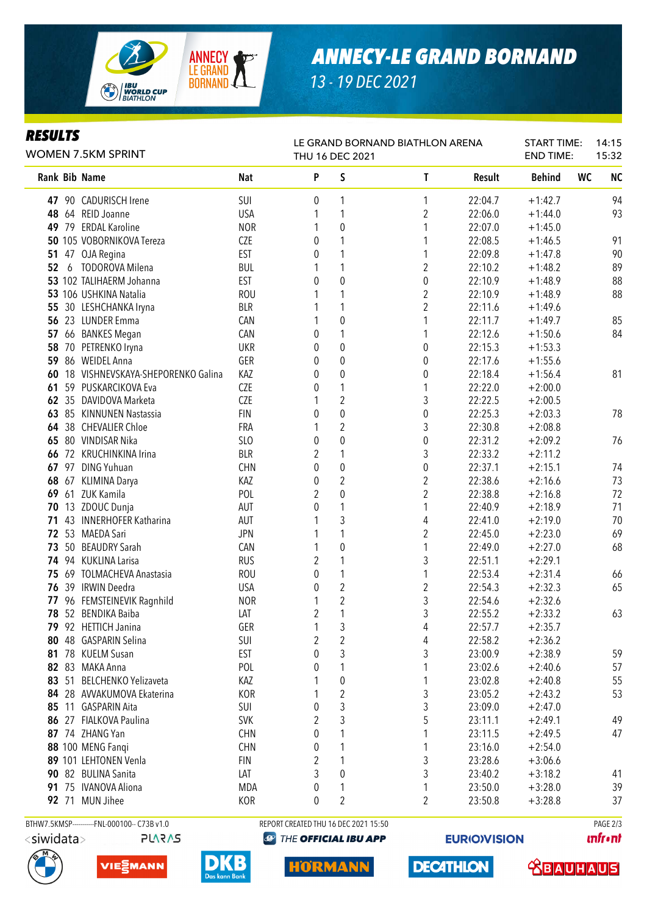

## *ANNECY-LE GRAND BORNAND*

START TIME: 14:15

*13 - 19 DEC 2021*

LE GRAND BORNAND BIATHLON ARENA

### *RESULTS*

| WOMEN 7.5KM SPRINT |    |                                   | THU 16 DEC 2021 |                |                  |                  |               |               | <b>END TIME:</b><br>15:32 |           |
|--------------------|----|-----------------------------------|-----------------|----------------|------------------|------------------|---------------|---------------|---------------------------|-----------|
|                    |    | Rank Bib Name                     | <b>Nat</b>      | P              | S                | L                | <b>Result</b> | <b>Behind</b> | <b>WC</b>                 | <b>NC</b> |
|                    |    | 47 90 CADURISCH Irene             | SUI             | 0              | 1                | 1                | 22:04.7       | $+1:42.7$     |                           | 94        |
| 48                 |    | 64 REID Joanne                    | <b>USA</b>      | 1              | 1                | $\overline{2}$   | 22:06.0       | $+1:44.0$     |                           | 93        |
| 49                 |    | 79 ERDAL Karoline                 | <b>NOR</b>      | 1              | $\mathbf{0}$     | 1                | 22:07.0       | $+1:45.0$     |                           |           |
|                    |    | 50 105 VOBORNIKOVA Tereza         | <b>CZE</b>      | 0              | 1                | 1                | 22:08.5       | $+1:46.5$     |                           | 91        |
| 51                 |    | 47 OJA Regina                     | <b>EST</b>      | 0              | 1                | 1                | 22:09.8       | $+1:47.8$     |                           | 90        |
| 52                 |    | 6 TODOROVA Milena                 | <b>BUL</b>      | 1              | 1                | $\overline{2}$   | 22:10.2       | $+1:48.2$     |                           | 89        |
|                    |    | 53 102 TALIHAERM Johanna          | <b>EST</b>      | 0              | $\overline{0}$   | $\boldsymbol{0}$ | 22:10.9       | $+1:48.9$     |                           | 88        |
|                    |    | 53 106 USHKINA Natalia            | <b>ROU</b>      | 1              | 1                | $\overline{2}$   | 22:10.9       | $+1:48.9$     |                           | 88        |
| 55                 |    | 30 LESHCHANKA Iryna               | <b>BLR</b>      | 1              | 1                | $\overline{2}$   | 22:11.6       | $+1:49.6$     |                           |           |
|                    |    | 56 23 LUNDER Emma                 | CAN             | 1              | $\mathbf 0$      | 1                | 22:11.7       | $+1:49.7$     |                           | 85        |
| 57                 |    | 66 BANKES Megan                   | CAN             | 0              |                  | 1                | 22:12.6       | $+1:50.6$     |                           | 84        |
| 58                 | 70 | PETRENKO Iryna                    | <b>UKR</b>      | 0              | $\mathbf 0$      | 0                | 22:15.3       | $+1:53.3$     |                           |           |
| 59                 |    | 86 WEIDEL Anna                    | GER             | 0              | 0                | 0                | 22:17.6       | $+1:55.6$     |                           |           |
| 60                 |    | 18 VISHNEVSKAYA-SHEPORENKO Galina | KAZ             | 0              | $\mathbf 0$      | 0                | 22:18.4       | $+1:56.4$     |                           | 81        |
| 61                 |    | 59 PUSKARCIKOVA Eva               | <b>CZE</b>      | 0              | 1                | 1                | 22:22.0       | $+2:00.0$     |                           |           |
|                    |    | 62 35 DAVIDOVA Marketa            | <b>CZE</b>      | 1              | $\overline{2}$   | 3                | 22:22.5       | $+2:00.5$     |                           |           |
|                    |    | 63 85 KINNUNEN Nastassia          | <b>FIN</b>      | 0              | $\mathbf 0$      | 0                | 22:25.3       | $+2:03.3$     |                           | 78        |
|                    |    | 64 38 CHEVALIER Chloe             | FRA             | 1              | $\overline{2}$   | 3                | 22:30.8       | $+2:08.8$     |                           |           |
| 65                 |    | 80 VINDISAR Nika                  | SLO             | 0              | $\mathbf{0}$     | $\boldsymbol{0}$ | 22:31.2       | $+2:09.2$     |                           | 76        |
| 66                 |    | 72 KRUCHINKINA Irina              | <b>BLR</b>      | 2              | 1                | 3                | 22:33.2       | $+2:11.2$     |                           |           |
|                    |    | 67 97 DING Yuhuan                 | <b>CHN</b>      | 0              | $\boldsymbol{0}$ | $\boldsymbol{0}$ | 22:37.1       | $+2:15.1$     |                           | 74        |
| 68                 |    | 67 KLIMINA Darya                  | KAZ             | 0              | $\overline{2}$   | $\overline{2}$   | 22:38.6       | $+2:16.6$     |                           | 73        |
| 69                 |    | 61 ZUK Kamila                     | POL             | 2              | $\pmb{0}$        | $\overline{2}$   | 22:38.8       | $+2:16.8$     |                           | 72        |
| 70                 |    | 13 ZDOUC Dunja                    | AUT             | 0              | 1                | 1                | 22:40.9       | $+2:18.9$     |                           | 71        |
| 71                 |    | 43 INNERHOFER Katharina           | AUT             | 1              | 3                | 4                | 22:41.0       | $+2:19.0$     |                           | 70        |
| 72                 | 53 | <b>MAEDA Sari</b>                 | <b>JPN</b>      | 1              | 1                | $\overline{2}$   | 22:45.0       | $+2:23.0$     |                           | 69        |
| 73                 | 50 | <b>BEAUDRY Sarah</b>              | CAN             | 1              | $\mathbf 0$      | 1                | 22:49.0       | $+2:27.0$     |                           | 68        |
|                    |    | 74 94 KUKLINA Larisa              | <b>RUS</b>      | 2              | 1                | 3                | 22:51.1       | $+2:29.1$     |                           |           |
|                    |    | 75 69 TOLMACHEVA Anastasia        | <b>ROU</b>      | 0              | 1                | 1                | 22:53.4       | $+2:31.4$     |                           | 66        |
|                    |    | 76 39 IRWIN Deedra                | <b>USA</b>      | 0              | $\overline{2}$   | $\overline{2}$   | 22:54.3       | $+2:32.3$     |                           | 65        |
|                    |    | 77 96 FEMSTEINEVIK Ragnhild       | <b>NOR</b>      | 1              | 2                | 3                | 22:54.6       | $+2:32.6$     |                           |           |
|                    |    | 78 52 BENDIKA Baiba               | LAT             | $\overline{2}$ | 1                | 3                | 22:55.2       | $+2:33.2$     |                           | 63        |
|                    |    | 79 92 HETTICH Janina              | GER             | 1              | 3                | 4                | 22:57.7       | $+2:35.7$     |                           |           |
|                    |    | 80 48 GASPARIN Selina             | SUI             | 2              | 2                | 4                | 22:58.2       | $+2:36.2$     |                           |           |
|                    |    | 81 78 KUELM Susan                 | <b>EST</b>      | $\pmb{0}$      | 3                | 3                | 23:00.9       | $+2:38.9$     |                           | 59        |
|                    |    | 82 83 MAKA Anna                   | POL             | 0              | 1                |                  | 23:02.6       | $+2:40.6$     |                           | 57        |
|                    |    | 83 51 BELCHENKO Yelizaveta        | KAZ             | 1              | 0                | 1                | 23:02.8       | $+2:40.8$     |                           | 55        |
|                    |    | 84 28 AVVAKUMOVA Ekaterina        | KOR             | 1              | 2                | 3                | 23:05.2       | $+2:43.2$     |                           | 53        |
|                    |    | 85 11 GASPARIN Aita               | SUI             | $\pmb{0}$      | 3                | 3                | 23:09.0       | $+2:47.0$     |                           |           |
|                    |    | 86 27 FIALKOVA Paulina            | <b>SVK</b>      | $\overline{2}$ | 3                | 5                | 23:11.1       | $+2:49.1$     |                           | 49        |
|                    |    | 87 74 ZHANG Yan                   | <b>CHN</b>      | 0              |                  |                  | 23:11.5       | $+2:49.5$     |                           | 47        |
|                    |    | 88 100 MENG Fangi                 | <b>CHN</b>      | 0              |                  | 1                | 23:16.0       | $+2:54.0$     |                           |           |
|                    |    | 89 101 LEHTONEN Venla             | <b>FIN</b>      | $\overline{2}$ |                  | 3                | 23:28.6       | $+3:06.6$     |                           |           |
|                    |    | 90 82 BULINA Sanita               | LAT             | 3              | 0                | 3                | 23:40.2       | $+3:18.2$     |                           | 41        |
|                    |    | 91 75 IVANOVA Aliona              | <b>MDA</b>      | 0              | 1                | 1                | 23:50.0       | $+3:28.0$     |                           | 39        |
|                    |    | 92 71 MUN Jihee                   | KOR             | 0              | $\overline{2}$   | $\overline{2}$   | 23:50.8       | $+3:28.8$     |                           | 37        |
|                    |    |                                   |                 |                |                  |                  |               |               |                           |           |



**PLARAS** VIE<sup>S</sup>MANN



BTHW7.5KMSP-----------FNL-000100-- C73B v1.0 REPORT CREATED THU 16 DEC 2021 15:50 PAGE 2/3**@ THE OFFICIAL IBU APP** 

HORMA

**EURIO)VISION** 

**DECATHLON** 

**unfront**